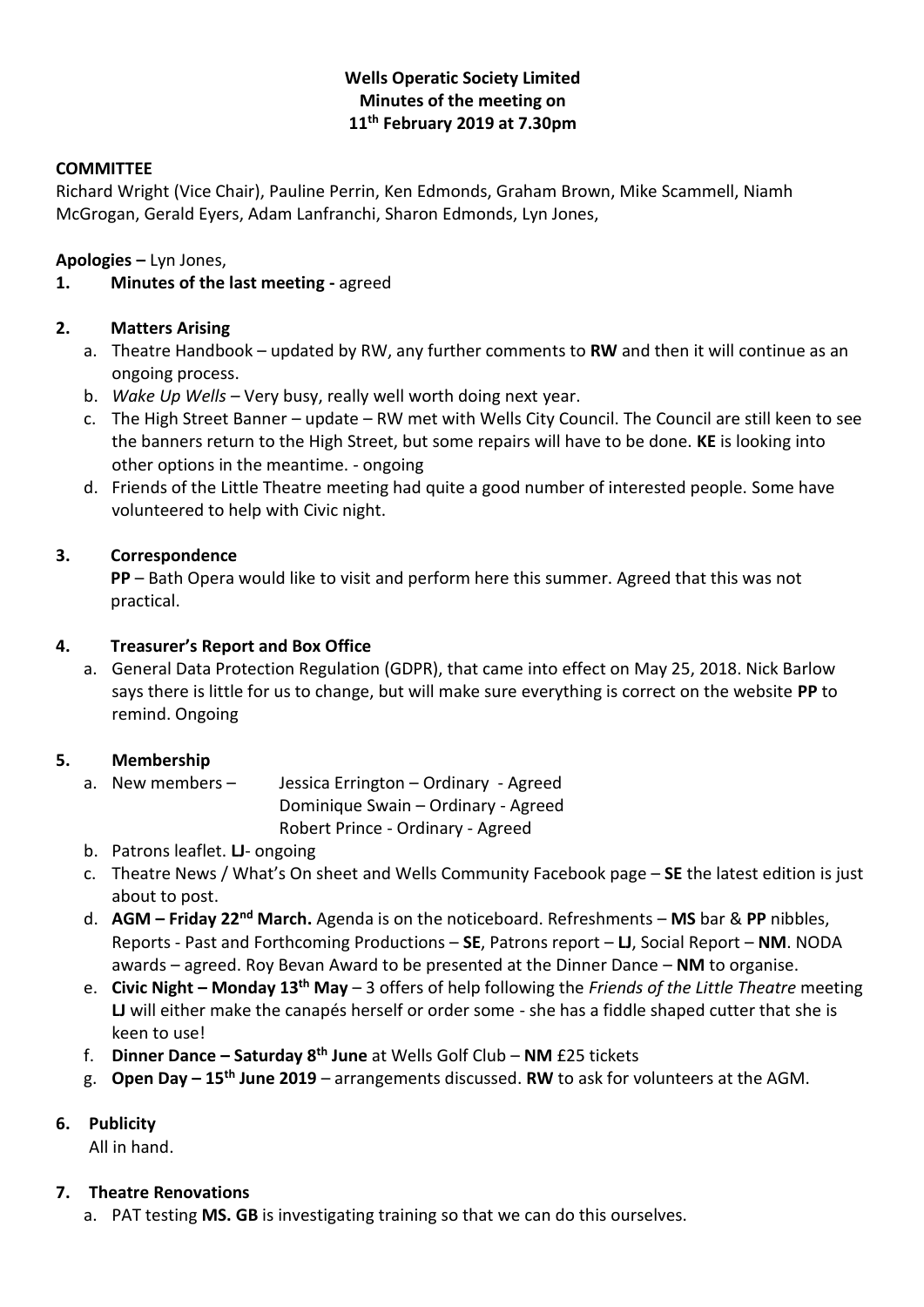# **Wells Operatic Society Limited Minutes of the meeting on 11th February 2019 at 7.30pm**

# **COMMITTEE**

Richard Wright (Vice Chair), Pauline Perrin, Ken Edmonds, Graham Brown, Mike Scammell, Niamh McGrogan, Gerald Eyers, Adam Lanfranchi, Sharon Edmonds, Lyn Jones,

**Apologies –** Lyn Jones,

# **1. Minutes of the last meeting -** agreed

# **2. Matters Arising**

- a. Theatre Handbook updated by RW, any further comments to **RW** and then it will continue as an ongoing process.
- b. *Wake Up Wells –* Very busy, really well worth doing next year.
- c. The High Street Banner update RW met with Wells City Council. The Council are still keen to see the banners return to the High Street, but some repairs will have to be done. **KE** is looking into other options in the meantime. - ongoing
- d. Friends of the Little Theatre meeting had quite a good number of interested people. Some have volunteered to help with Civic night.

# **3. Correspondence**

**PP** – Bath Opera would like to visit and perform here this summer. Agreed that this was not practical.

# **4. Treasurer's Report and Box Office**

a. General Data Protection Regulation (GDPR), that came into effect on May 25, 2018. Nick Barlow says there is little for us to change, but will make sure everything is correct on the website **PP** to remind. Ongoing

# **5. Membership**

- a. New members Jessica Errington Ordinary Agreed
	- Dominique Swain Ordinary Agreed
		- Robert Prince Ordinary Agreed
- b. Patrons leaflet. **LJ** ongoing
- c. Theatre News / What's On sheet and Wells Community Facebook page **SE** the latest edition is just about to post.
- d. **AGM – Friday 22nd March.** Agenda is on the noticeboard. Refreshments **MS** bar & **PP** nibbles, Reports - Past and Forthcoming Productions – **SE**, Patrons report – **LJ**, Social Report – **NM**. NODA awards – agreed. Roy Bevan Award to be presented at the Dinner Dance – **NM** to organise.
- e. **Civic Night – Monday 13th May**  3 offers of help following the *Friends of the Little Theatre* meeting **LJ** will either make the canapés herself or order some - she has a fiddle shaped cutter that she is keen to use!
- f. **Dinner Dance – Saturday 8th June** at Wells Golf Club **NM** £25 tickets
- g. **Open Day – 15th June 2019**  arrangements discussed. **RW** to ask for volunteers at the AGM.

# **6. Publicity**

All in hand.

# **7. Theatre Renovations**

a. PAT testing **MS. GB** is investigating training so that we can do this ourselves.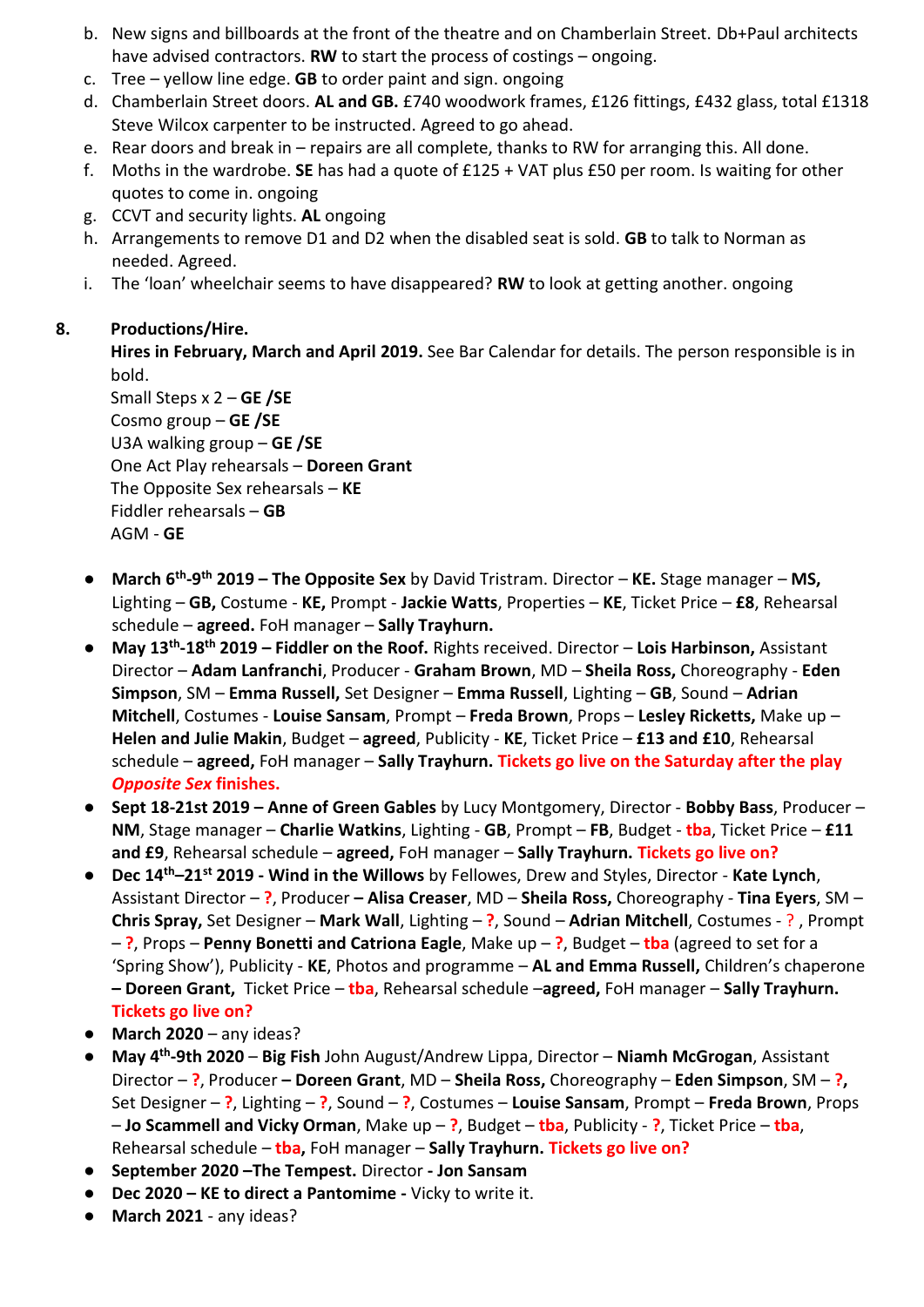- b. New signs and billboards at the front of the theatre and on Chamberlain Street. Db+Paul architects have advised contractors. **RW** to start the process of costings – ongoing.
- c. Tree yellow line edge. **GB** to order paint and sign. ongoing
- d. Chamberlain Street doors. **AL and GB.** £740 woodwork frames, £126 fittings, £432 glass, total £1318 Steve Wilcox carpenter to be instructed. Agreed to go ahead.
- e. Rear doors and break in repairs are all complete, thanks to RW for arranging this. All done.
- f. Moths in the wardrobe. **SE** has had a quote of £125 + VAT plus £50 per room. Is waiting for other quotes to come in. ongoing
- g. CCVT and security lights. **AL** ongoing
- h. Arrangements to remove D1 and D2 when the disabled seat is sold. **GB** to talk to Norman as needed. Agreed.
- i. The 'loan' wheelchair seems to have disappeared? **RW** to look at getting another. ongoing

# **8. Productions/Hire.**

**Hires in February, March and April 2019.** See Bar Calendar for details. The person responsible is in bold.

Small Steps x 2 – **GE /SE** Cosmo group – **GE /SE** U3A walking group – **GE /SE** One Act Play rehearsals – **Doreen Grant** The Opposite Sex rehearsals – **KE** Fiddler rehearsals – **GB** AGM - **GE**

- **March 6th -9 th 2019 – The Opposite Sex** by David Tristram. Director **KE.** Stage manager **MS,**  Lighting – **GB,** Costume - **KE,** Prompt - **Jackie Watts**, Properties – **KE**, Ticket Price – **£8**, Rehearsal schedule – **agreed.** FoH manager – **Sally Trayhurn.**
- **May 13th -18th 2019 – Fiddler on the Roof.** Rights received. Director **Lois Harbinson,** Assistant Director – **Adam Lanfranchi**, Producer - **Graham Brown**, MD – **Sheila Ross,** Choreography - **Eden Simpson**, SM – **Emma Russell,** Set Designer – **Emma Russell**, Lighting – **GB**, Sound – **Adrian Mitchell**, Costumes - **Louise Sansam**, Prompt – **Freda Brown**, Props – **Lesley Ricketts,** Make up – **Helen and Julie Makin**, Budget – **agreed**, Publicity - **KE**, Ticket Price – **£13 and £10**, Rehearsal schedule – **agreed,** FoH manager – **Sally Trayhurn. Tickets go live on the Saturday after the play**  *Opposite Sex* **finishes.**
- **Sept 18-21st 2019 – Anne of Green Gables** by Lucy Montgomery, Director **Bobby Bass**, Producer **NM**, Stage manager – **Charlie Watkins**, Lighting - **GB**, Prompt – **FB**, Budget - **tba**, Ticket Price – **£11 and £9**, Rehearsal schedule – **agreed,** FoH manager – **Sally Trayhurn. Tickets go live on?**
- **Dec 14th–21st 2019 - Wind in the Willows** by Fellowes, Drew and Styles, Director **Kate Lynch**, Assistant Director – **?**, Producer **– Alisa Creaser**, MD – **Sheila Ross,** Choreography - **Tina Eyers**, SM – **Chris Spray,** Set Designer – **Mark Wall**, Lighting – **?**, Sound – **Adrian Mitchell**, Costumes - ? , Prompt – **?**, Props – **Penny Bonetti and Catriona Eagle**, Make up – **?**, Budget – **tba** (agreed to set for a 'Spring Show'), Publicity - **KE**, Photos and programme – **AL and Emma Russell,** Children's chaperone **– Doreen Grant,** Ticket Price – **tba**, Rehearsal schedule –**agreed,** FoH manager – **Sally Trayhurn. Tickets go live on?**
- **March 2020** any ideas?
- **May 4th -9th 2020 Big Fish** John August/Andrew Lippa, Director **Niamh McGrogan**, Assistant Director – **?**, Producer **– Doreen Grant**, MD – **Sheila Ross,** Choreography – **Eden Simpson**, SM – **?,**  Set Designer – **?**, Lighting – **?**, Sound – **?**, Costumes – **Louise Sansam**, Prompt – **Freda Brown**, Props – **Jo Scammell and Vicky Orman**, Make up – **?**, Budget – **tba**, Publicity - **?**, Ticket Price – **tba**, Rehearsal schedule – **tba,** FoH manager – **Sally Trayhurn. Tickets go live on?**
- **September 2020 –The Tempest.** Director **- Jon Sansam**
- **Dec 2020 – KE to direct a Pantomime -** Vicky to write it.
- **March 2021** any ideas?